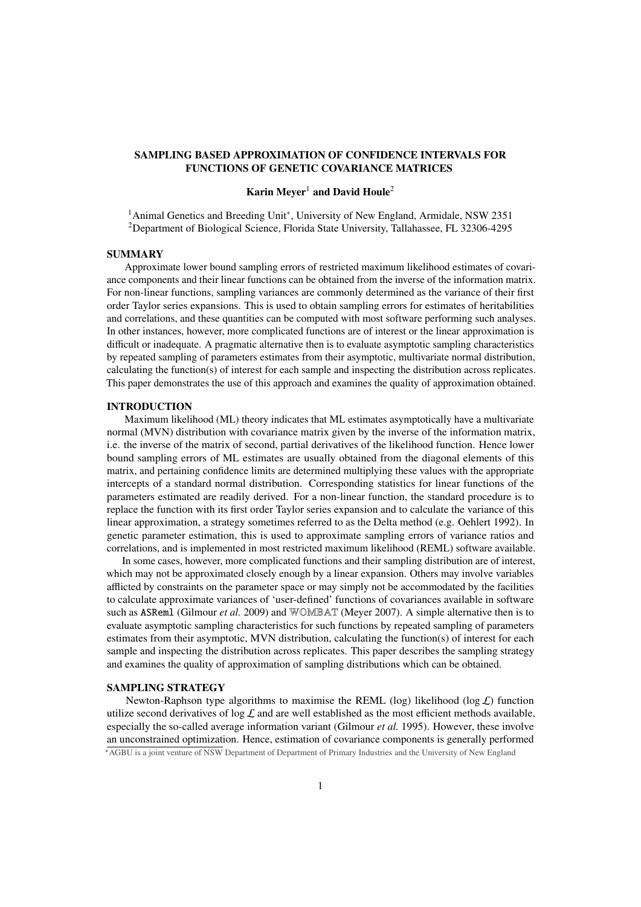# SAMPLING BASED APPROXIMATION OF CONFIDENCE INTERVALS FOR FUNCTIONS OF GENETIC COVARIANCE MATRICES

# Karin Meyer<sup>1</sup> and David Houle<sup>2</sup>

<sup>1</sup> Animal Genetics and Breeding Unit\*, University of New England, Armidale, NSW 2351 <sup>2</sup>Department of Biological Science, Florida State University, Tallahassee, FL 32306-4295

## **SUMMARY**

Approximate lower bound sampling errors of restricted maximum likelihood estimates of covariance components and their linear functions can be obtained from the inverse of the information matrix. For non-linear functions, sampling variances are commonly determined as the variance of their first order Taylor series expansions. This is used to obtain sampling errors for estimates of heritabilities and correlations, and these quantities can be computed with most software performing such analyses. In other instances, however, more complicated functions are of interest or the linear approximation is difficult or inadequate. A pragmatic alternative then is to evaluate asymptotic sampling characteristics by repeated sampling of parameters estimates from their asymptotic, multivariate normal distribution, calculating the function(s) of interest for each sample and inspecting the distribution across replicates. This paper demonstrates the use of this approach and examines the quality of approximation obtained.

## INTRODUCTION

Maximum likelihood (ML) theory indicates that ML estimates asymptotically have a multivariate normal (MVN) distribution with covariance matrix given by the inverse of the information matrix, i.e. the inverse of the matrix of second, partial derivatives of the likelihood function. Hence lower bound sampling errors of ML estimates are usually obtained from the diagonal elements of this matrix, and pertaining confidence limits are determined multiplying these values with the appropriate intercepts of a standard normal distribution. Corresponding statistics for linear functions of the parameters estimated are readily derived. For a non-linear function, the standard procedure is to replace the function with its first order Taylor series expansion and to calculate the variance of this linear approximation, a strategy sometimes referred to as the Delta method (e.g. [Oehlert](#page-3-0) [1992\)](#page-3-0). In genetic parameter estimation, this is used to approximate sampling errors of variance ratios and correlations, and is implemented in most restricted maximum likelihood (REML) software available.

In some cases, however, more complicated functions and their sampling distribution are of interest, which may not be approximated closely enough by a linear expansion. Others may involve variables afflicted by constraints on the parameter space or may simply not be accommodated by the facilities to calculate approximate variances of 'user-defined' functions of covariances available in software such as ASReml [\(Gilmour](#page-3-1) *et al.* [2009\)](#page-3-1) and WOMBAT [\(Meyer](#page-3-2) [2007\)](#page-3-2). A simple alternative then is to evaluate asymptotic sampling characteristics for such functions by repeated sampling of parameters estimates from their asymptotic, MVN distribution, calculating the function(s) of interest for each sample and inspecting the distribution across replicates. This paper describes the sampling strategy and examines the quality of approximation of sampling distributions which can be obtained.

#### SAMPLING STRATEGY

Newton-Raphson type algorithms to maximise the REML (log) likelihood (log  $\mathcal{L}$ ) function utilize second derivatives of  $\log \mathcal{L}$  and are well established as the most efficient methods available, especially the so-called average information variant [\(Gilmour](#page-3-3) *et al.* [1995\)](#page-3-3). However, these involve an unconstrained optimization. Hence, estimation of covariance components is generally performed \*AGBU is a joint venture of NSW Department of Department of Primary Industries and the University of New England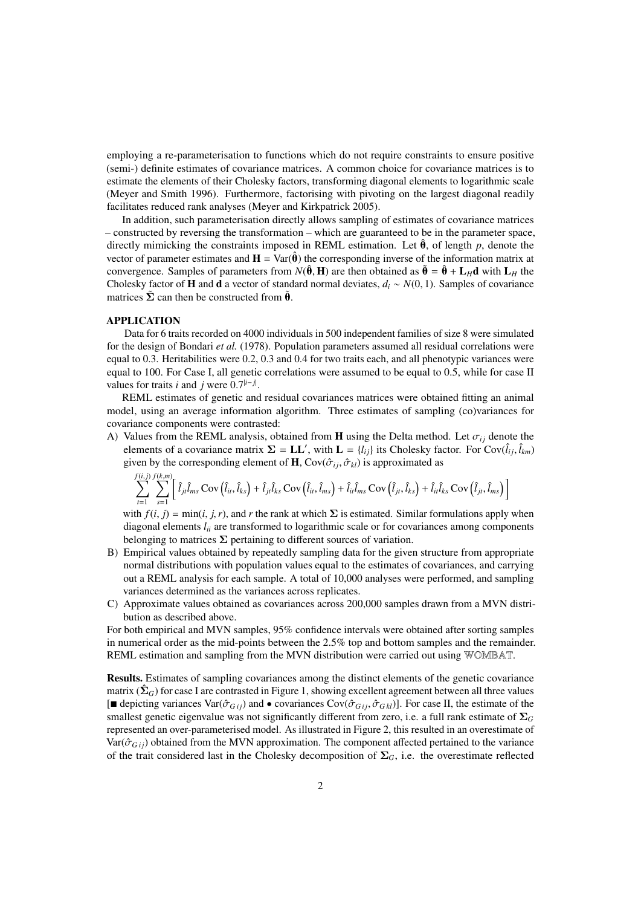employing a re-parameterisation to functions which do not require constraints to ensure positive (semi-) definite estimates of covariance matrices. A common choice for covariance matrices is to estimate the elements of their Cholesky factors, transforming diagonal elements to logarithmic scale [\(Meyer and Smith](#page-3-4) [1996\)](#page-3-4). Furthermore, factorising with pivoting on the largest diagonal readily facilitates reduced rank analyses [\(Meyer and Kirkpatrick](#page-3-5) [2005\)](#page-3-5).

In addition, such parameterisation directly allows sampling of estimates of covariance matrices – constructed by reversing the transformation – which are guaranteed to be in the parameter space, directly mimicking the constraints imposed in REML estimation. Let  $\hat{\theta}$ , of length p, denote the vector of parameter estimates and  $H = Var(\hat{\theta})$  the corresponding inverse of the information matrix at convergence. Samples of parameters from  $N(\hat{\theta}, H)$  are then obtained as  $\tilde{\theta} = \hat{\theta} + L_H d$  with  $L_H$  the Cholesky factor of **H** and **d** a vector of standard normal deviates,  $d_i \sim N(0, 1)$ . Samples of covariance matrices  $\tilde{\Sigma}$  can then be constructed from  $\tilde{\theta}$ .

#### APPLICATION

Data for 6 traits recorded on 4000 individuals in 500 independent families of size 8 were simulated for the design of [Bondari](#page-3-6) *et al.* [\(1978\)](#page-3-6). Population parameters assumed all residual correlations were equal to 0.3. Heritabilities were 0.2, 0.3 and 0.4 for two traits each, and all phenotypic variances were equal to 100. For Case I, all genetic correlations were assumed to be equal to 0.5, while for case II values for traits *i* and *j* were 0.7<sup>|*i*−*j*|.<br>REMI estimates of genetic and</sup>

REML estimates of genetic and residual covariances matrices were obtained fitting an animal model, using an average information algorithm. Three estimates of sampling (co)variances for covariance components were contrasted:

A) Values from the REML analysis, obtained from H using the Delta method. Let  $\sigma_{ij}$  denote the elements of a covariance matrix  $\Sigma = LL'$ , with  $L = \{l_{ij}\}\$  its Cholesky factor. For  $Cov(\hat{l}_{ij}, \hat{l}_{km})$  given by the corresponding element of  $H$ ,  $Cov(\hat{\sigma}_{ij}, \hat{\sigma}_{kl})$  is approximated as given by the corresponding element of **H**, Cov( $\hat{\sigma}_{ij}, \hat{\sigma}_{kl}$ ) is approximated as

$$
\sum_{t=1}^{f(i,j)}\sum_{s=1}^{f(k,m)}\left[\hat{I}_{ji}\hat{l}_{ms}\operatorname{Cov}\left(\hat{l}_{it},\hat{l}_{ks}\right)+\hat{I}_{jt}\hat{l}_{ks}\operatorname{Cov}\left(\hat{l}_{it},\hat{l}_{ms}\right)+\hat{l}_{it}\hat{l}_{ms}\operatorname{Cov}\left(\hat{l}_{jt},\hat{l}_{ks}\right)+\hat{l}_{it}\hat{l}_{ks}\operatorname{Cov}\left(\hat{l}_{jt},\hat{l}_{ms}\right)\right]
$$

with  $f(i, j) = min(i, j, r)$ , and *r* the rank at which  $\Sigma$  is estimated. Similar formulations apply when diagonal elements *lii* are transformed to logarithmic scale or for covariances among components belonging to matrices  $\Sigma$  pertaining to different sources of variation.

- B) Empirical values obtained by repeatedly sampling data for the given structure from appropriate normal distributions with population values equal to the estimates of covariances, and carrying out a REML analysis for each sample. A total of 10,000 analyses were performed, and sampling variances determined as the variances across replicates.
- C) Approximate values obtained as covariances across 200,000 samples drawn from a MVN distribution as described above.

For both empirical and MVN samples, 95% confidence intervals were obtained after sorting samples in numerical order as the mid-points between the 2.5% top and bottom samples and the remainder. REML estimation and sampling from the MVN distribution were carried out using WOMBAT.

Results. Estimates of sampling covariances among the distinct elements of the genetic covariance matrix  $(\hat{\Sigma}_G)$  for case I are contrasted in [Figure 1,](#page-2-0) showing excellent agreement between all three values [ $\blacksquare$  depicting variances Var( $\hat{\sigma}_{Gij}$ ) and  $\bullet$  covariances Cov( $\hat{\sigma}_{Gij}$ ,  $\hat{\sigma}_{Gkl}$ ]]. For case II, the estimate of the smallest genetic eigenvalue was not significantly different from zero, i.e. a full rank estimate of  $\Sigma_G$ represented an over-parameterised model. As illustrated in [Figure 2,](#page-2-1) this resulted in an overestimate of  $Var(\hat{\sigma}_{G(i)})$  obtained from the MVN approximation. The component affected pertained to the variance of the trait considered last in the Cholesky decomposition of  $\Sigma_G$ , i.e. the overestimate reflected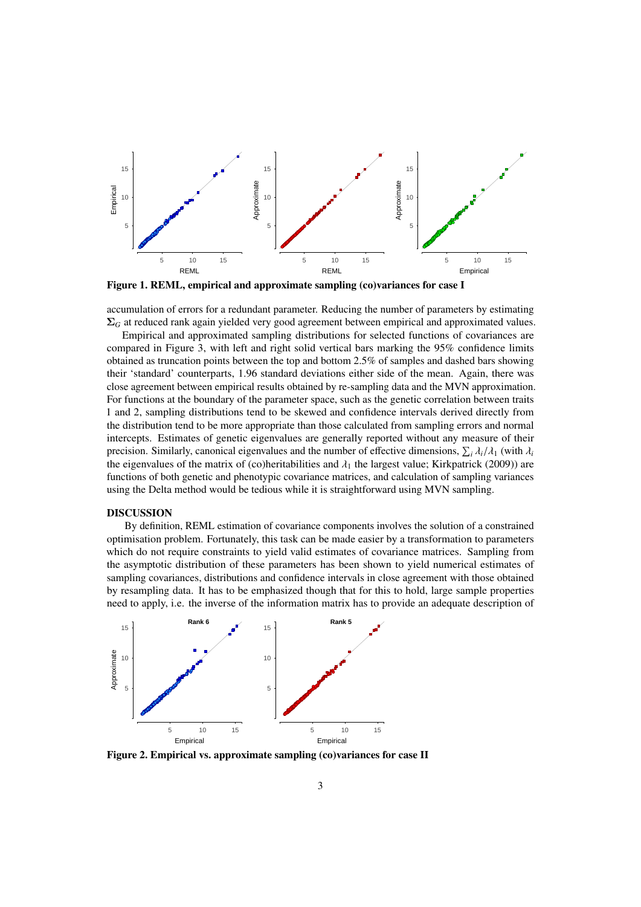<span id="page-2-0"></span>

Figure 1. REML, empirical and approximate sampling (co)variances for case I

accumulation of errors for a redundant parameter. Reducing the number of parameters by estimating  $\Sigma_G$  at reduced rank again yielded very good agreement between empirical and approximated values.

Empirical and approximated sampling distributions for selected functions of covariances are compared in [Figure 3,](#page-3-7) with left and right solid vertical bars marking the 95% confidence limits obtained as truncation points between the top and bottom 2.5% of samples and dashed bars showing their 'standard' counterparts, 1.96 standard deviations either side of the mean. Again, there was close agreement between empirical results obtained by re-sampling data and the MVN approximation. For functions at the boundary of the parameter space, such as the genetic correlation between traits 1 and 2, sampling distributions tend to be skewed and confidence intervals derived directly from the distribution tend to be more appropriate than those calculated from sampling errors and normal intercepts. Estimates of genetic eigenvalues are generally reported without any measure of their precision. Similarly, canonical eigenvalues and the number of effective dimensions,  $\sum_i \lambda_i/\lambda_1$  (with  $\lambda_i$ ) the eigenvalues of the matrix of (co)beritabilities and  $\lambda_1$ , the largest value: Kirkpatrick (2009)) are the eigenvalues of the matrix of (co)heritabilities and  $\lambda_1$  the largest value; [Kirkpatrick](#page-3-8) [\(2009\)](#page-3-8)) are functions of both genetic and phenotypic covariance matrices, and calculation of sampling variances using the Delta method would be tedious while it is straightforward using MVN sampling.

## DISCUSSION

By definition, REML estimation of covariance components involves the solution of a constrained optimisation problem. Fortunately, this task can be made easier by a transformation to parameters which do not require constraints to yield valid estimates of covariance matrices. Sampling from the asymptotic distribution of these parameters has been shown to yield numerical estimates of sampling covariances, distributions and confidence intervals in close agreement with those obtained by resampling data. It has to be emphasized though that for this to hold, large sample properties need to apply, i.e. the inverse of the information matrix has to provide an adequate description of

<span id="page-2-1"></span>

Figure 2. Empirical vs. approximate sampling (co)variances for case II